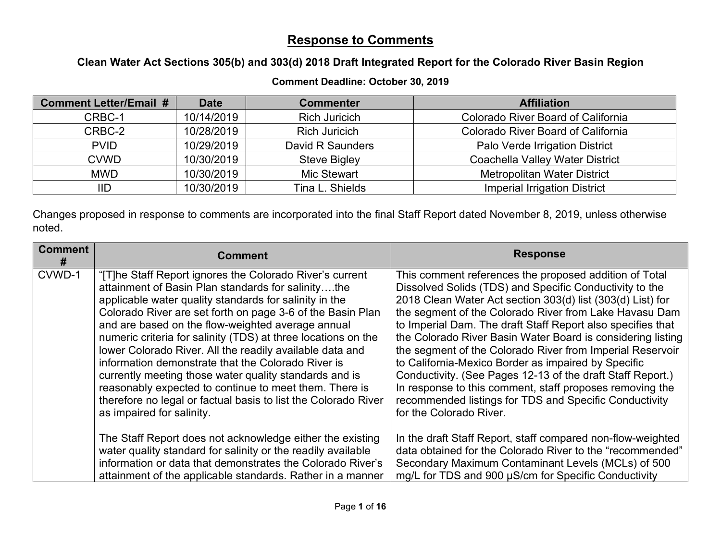## **Response to Comments**

## **Clean Water Act Sections 305(b) and 303(d) 2018 Draft Integrated Report for the Colorado River Basin Region**

## **Comment Deadline: October 30, 2019**

| <b>Comment Letter/Email #</b> | <b>Date</b> | <b>Commenter</b>     | <b>Affiliation</b>                     |
|-------------------------------|-------------|----------------------|----------------------------------------|
| CRBC-1                        | 10/14/2019  | <b>Rich Juricich</b> | Colorado River Board of California     |
| CRBC-2                        | 10/28/2019  | <b>Rich Juricich</b> | Colorado River Board of California     |
| <b>PVID</b>                   | 10/29/2019  | David R Saunders     | Palo Verde Irrigation District         |
| <b>CVWD</b>                   | 10/30/2019  | <b>Steve Bigley</b>  | <b>Coachella Valley Water District</b> |
| <b>MWD</b>                    | 10/30/2019  | <b>Mic Stewart</b>   | <b>Metropolitan Water District</b>     |
| IID                           | 10/30/2019  | Tina L. Shields      | <b>Imperial Irrigation District</b>    |

Changes proposed in response to comments are incorporated into the final Staff Report dated November 8, 2019, unless otherwise noted.

| <b>Comment</b><br># | <b>Comment</b>                                                                                                                                                                                                                                                                                                                                                                                                                                                                                                                                                                                                                                                                                    | <b>Response</b>                                                                                                                                                                                                                                                                                                                                                                                                                                                                                                                                                                                                                                                                                            |
|---------------------|---------------------------------------------------------------------------------------------------------------------------------------------------------------------------------------------------------------------------------------------------------------------------------------------------------------------------------------------------------------------------------------------------------------------------------------------------------------------------------------------------------------------------------------------------------------------------------------------------------------------------------------------------------------------------------------------------|------------------------------------------------------------------------------------------------------------------------------------------------------------------------------------------------------------------------------------------------------------------------------------------------------------------------------------------------------------------------------------------------------------------------------------------------------------------------------------------------------------------------------------------------------------------------------------------------------------------------------------------------------------------------------------------------------------|
| CVWD-1              | "[T]he Staff Report ignores the Colorado River's current<br>attainment of Basin Plan standards for salinitythe<br>applicable water quality standards for salinity in the<br>Colorado River are set forth on page 3-6 of the Basin Plan<br>and are based on the flow-weighted average annual<br>numeric criteria for salinity (TDS) at three locations on the<br>lower Colorado River. All the readily available data and<br>information demonstrate that the Colorado River is<br>currently meeting those water quality standards and is<br>reasonably expected to continue to meet them. There is<br>therefore no legal or factual basis to list the Colorado River<br>as impaired for salinity. | This comment references the proposed addition of Total<br>Dissolved Solids (TDS) and Specific Conductivity to the<br>2018 Clean Water Act section 303(d) list (303(d) List) for<br>the segment of the Colorado River from Lake Havasu Dam<br>to Imperial Dam. The draft Staff Report also specifies that<br>the Colorado River Basin Water Board is considering listing<br>the segment of the Colorado River from Imperial Reservoir<br>to California-Mexico Border as impaired by Specific<br>Conductivity. (See Pages 12-13 of the draft Staff Report.)<br>In response to this comment, staff proposes removing the<br>recommended listings for TDS and Specific Conductivity<br>for the Colorado River. |
|                     | The Staff Report does not acknowledge either the existing<br>water quality standard for salinity or the readily available<br>information or data that demonstrates the Colorado River's<br>attainment of the applicable standards. Rather in a manner                                                                                                                                                                                                                                                                                                                                                                                                                                             | In the draft Staff Report, staff compared non-flow-weighted<br>data obtained for the Colorado River to the "recommended"<br>Secondary Maximum Contaminant Levels (MCLs) of 500<br>mg/L for TDS and 900 µS/cm for Specific Conductivity                                                                                                                                                                                                                                                                                                                                                                                                                                                                     |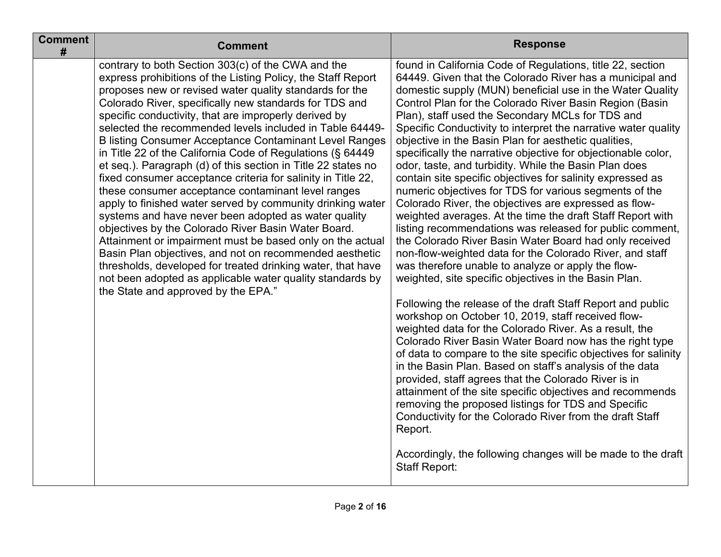| <b>Comment</b><br># | <b>Comment</b>                                                                                                                                                                                                                                                                                                                                                                                                                                                                                                                                                                                                                                                                                                                                                                                                                                                                                                                                                                                                                                                                                                                                             | <b>Response</b>                                                                                                                                                                                                                                                                                                                                                                                                                                                                                                                                                                                                                                                                                                                                                                                                                                                                                                                                                                                                                                                                                                                                                                                                                                                                                                                                                                                                                                                                                                                                                                                                                                                                                                                                                                                                           |
|---------------------|------------------------------------------------------------------------------------------------------------------------------------------------------------------------------------------------------------------------------------------------------------------------------------------------------------------------------------------------------------------------------------------------------------------------------------------------------------------------------------------------------------------------------------------------------------------------------------------------------------------------------------------------------------------------------------------------------------------------------------------------------------------------------------------------------------------------------------------------------------------------------------------------------------------------------------------------------------------------------------------------------------------------------------------------------------------------------------------------------------------------------------------------------------|---------------------------------------------------------------------------------------------------------------------------------------------------------------------------------------------------------------------------------------------------------------------------------------------------------------------------------------------------------------------------------------------------------------------------------------------------------------------------------------------------------------------------------------------------------------------------------------------------------------------------------------------------------------------------------------------------------------------------------------------------------------------------------------------------------------------------------------------------------------------------------------------------------------------------------------------------------------------------------------------------------------------------------------------------------------------------------------------------------------------------------------------------------------------------------------------------------------------------------------------------------------------------------------------------------------------------------------------------------------------------------------------------------------------------------------------------------------------------------------------------------------------------------------------------------------------------------------------------------------------------------------------------------------------------------------------------------------------------------------------------------------------------------------------------------------------------|
|                     | contrary to both Section 303(c) of the CWA and the<br>express prohibitions of the Listing Policy, the Staff Report<br>proposes new or revised water quality standards for the<br>Colorado River, specifically new standards for TDS and<br>specific conductivity, that are improperly derived by<br>selected the recommended levels included in Table 64449-<br><b>B listing Consumer Acceptance Contaminant Level Ranges</b><br>in Title 22 of the California Code of Regulations (§ 64449<br>et seq.). Paragraph (d) of this section in Title 22 states no<br>fixed consumer acceptance criteria for salinity in Title 22,<br>these consumer acceptance contaminant level ranges<br>apply to finished water served by community drinking water<br>systems and have never been adopted as water quality<br>objectives by the Colorado River Basin Water Board.<br>Attainment or impairment must be based only on the actual<br>Basin Plan objectives, and not on recommended aesthetic<br>thresholds, developed for treated drinking water, that have<br>not been adopted as applicable water quality standards by<br>the State and approved by the EPA." | found in California Code of Regulations, title 22, section<br>64449. Given that the Colorado River has a municipal and<br>domestic supply (MUN) beneficial use in the Water Quality<br>Control Plan for the Colorado River Basin Region (Basin<br>Plan), staff used the Secondary MCLs for TDS and<br>Specific Conductivity to interpret the narrative water quality<br>objective in the Basin Plan for aesthetic qualities,<br>specifically the narrative objective for objectionable color,<br>odor, taste, and turbidity. While the Basin Plan does<br>contain site specific objectives for salinity expressed as<br>numeric objectives for TDS for various segments of the<br>Colorado River, the objectives are expressed as flow-<br>weighted averages. At the time the draft Staff Report with<br>listing recommendations was released for public comment,<br>the Colorado River Basin Water Board had only received<br>non-flow-weighted data for the Colorado River, and staff<br>was therefore unable to analyze or apply the flow-<br>weighted, site specific objectives in the Basin Plan.<br>Following the release of the draft Staff Report and public<br>workshop on October 10, 2019, staff received flow-<br>weighted data for the Colorado River. As a result, the<br>Colorado River Basin Water Board now has the right type<br>of data to compare to the site specific objectives for salinity<br>in the Basin Plan. Based on staff's analysis of the data<br>provided, staff agrees that the Colorado River is in<br>attainment of the site specific objectives and recommends<br>removing the proposed listings for TDS and Specific<br>Conductivity for the Colorado River from the draft Staff<br>Report.<br>Accordingly, the following changes will be made to the draft<br><b>Staff Report:</b> |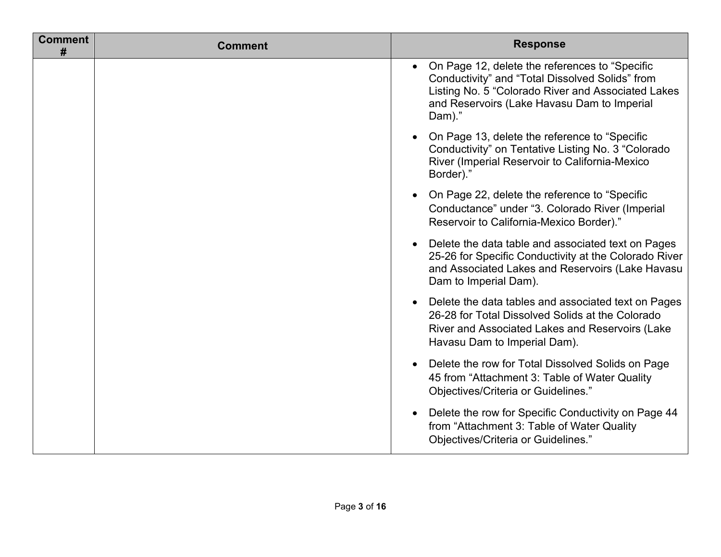| <b>Comment</b><br># | <b>Comment</b> | <b>Response</b>                                                                                                                                                                                                  |
|---------------------|----------------|------------------------------------------------------------------------------------------------------------------------------------------------------------------------------------------------------------------|
|                     |                | On Page 12, delete the references to "Specific<br>Conductivity" and "Total Dissolved Solids" from<br>Listing No. 5 "Colorado River and Associated Lakes<br>and Reservoirs (Lake Havasu Dam to Imperial<br>Dam)." |
|                     |                | On Page 13, delete the reference to "Specific<br>$\bullet$<br>Conductivity" on Tentative Listing No. 3 "Colorado<br>River (Imperial Reservoir to California-Mexico<br>Border)."                                  |
|                     |                | On Page 22, delete the reference to "Specific<br>Conductance" under "3. Colorado River (Imperial<br>Reservoir to California-Mexico Border)."                                                                     |
|                     |                | Delete the data table and associated text on Pages<br>25-26 for Specific Conductivity at the Colorado River<br>and Associated Lakes and Reservoirs (Lake Havasu<br>Dam to Imperial Dam).                         |
|                     |                | • Delete the data tables and associated text on Pages<br>26-28 for Total Dissolved Solids at the Colorado<br>River and Associated Lakes and Reservoirs (Lake<br>Havasu Dam to Imperial Dam).                     |
|                     |                | Delete the row for Total Dissolved Solids on Page<br>45 from "Attachment 3: Table of Water Quality<br>Objectives/Criteria or Guidelines."                                                                        |
|                     |                | Delete the row for Specific Conductivity on Page 44<br>$\bullet$<br>from "Attachment 3: Table of Water Quality<br>Objectives/Criteria or Guidelines."                                                            |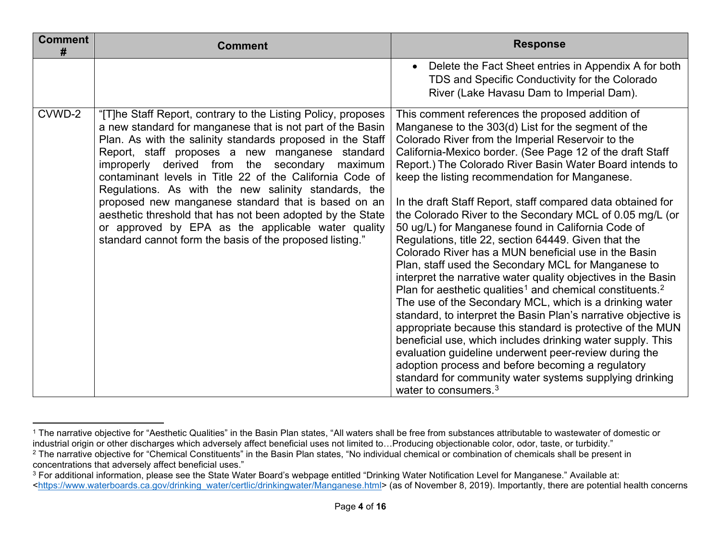<span id="page-3-2"></span><span id="page-3-1"></span><span id="page-3-0"></span>

| <b>Comment</b><br># | <b>Comment</b>                                                                                                                                                                                                                                                                                                                                                                                                                                                                                                                                                                                                                                           | <b>Response</b>                                                                                                                                                                                                                                                                                                                                                                                                                                                                                                                                                                                                                                                                                                                                                                                                                                                                                                                                                                                                                                                                                                                                                                                                                                                                                                    |
|---------------------|----------------------------------------------------------------------------------------------------------------------------------------------------------------------------------------------------------------------------------------------------------------------------------------------------------------------------------------------------------------------------------------------------------------------------------------------------------------------------------------------------------------------------------------------------------------------------------------------------------------------------------------------------------|--------------------------------------------------------------------------------------------------------------------------------------------------------------------------------------------------------------------------------------------------------------------------------------------------------------------------------------------------------------------------------------------------------------------------------------------------------------------------------------------------------------------------------------------------------------------------------------------------------------------------------------------------------------------------------------------------------------------------------------------------------------------------------------------------------------------------------------------------------------------------------------------------------------------------------------------------------------------------------------------------------------------------------------------------------------------------------------------------------------------------------------------------------------------------------------------------------------------------------------------------------------------------------------------------------------------|
|                     |                                                                                                                                                                                                                                                                                                                                                                                                                                                                                                                                                                                                                                                          | Delete the Fact Sheet entries in Appendix A for both<br>$\bullet$<br>TDS and Specific Conductivity for the Colorado<br>River (Lake Havasu Dam to Imperial Dam).                                                                                                                                                                                                                                                                                                                                                                                                                                                                                                                                                                                                                                                                                                                                                                                                                                                                                                                                                                                                                                                                                                                                                    |
| CVWD-2              | "[T]he Staff Report, contrary to the Listing Policy, proposes<br>a new standard for manganese that is not part of the Basin<br>Plan. As with the salinity standards proposed in the Staff<br>Report, staff proposes a new manganese standard<br>improperly derived from the secondary maximum<br>contaminant levels in Title 22 of the California Code of<br>Regulations. As with the new salinity standards, the<br>proposed new manganese standard that is based on an<br>aesthetic threshold that has not been adopted by the State<br>or approved by EPA as the applicable water quality<br>standard cannot form the basis of the proposed listing." | This comment references the proposed addition of<br>Manganese to the 303(d) List for the segment of the<br>Colorado River from the Imperial Reservoir to the<br>California-Mexico border. (See Page 12 of the draft Staff<br>Report.) The Colorado River Basin Water Board intends to<br>keep the listing recommendation for Manganese.<br>In the draft Staff Report, staff compared data obtained for<br>the Colorado River to the Secondary MCL of 0.05 mg/L (or<br>50 ug/L) for Manganese found in California Code of<br>Regulations, title 22, section 64449. Given that the<br>Colorado River has a MUN beneficial use in the Basin<br>Plan, staff used the Secondary MCL for Manganese to<br>interpret the narrative water quality objectives in the Basin<br>Plan for aesthetic qualities <sup>1</sup> and chemical constituents. <sup>2</sup><br>The use of the Secondary MCL, which is a drinking water<br>standard, to interpret the Basin Plan's narrative objective is<br>appropriate because this standard is protective of the MUN<br>beneficial use, which includes drinking water supply. This<br>evaluation guideline underwent peer-review during the<br>adoption process and before becoming a regulatory<br>standard for community water systems supplying drinking<br>water to consumers. $3$ |

<sup>&</sup>lt;sup>1</sup> The narrative objective for "Aesthetic Qualities" in the Basin Plan states, "All waters shall be free from substances attributable to wastewater of domestic or industrial origin or other discharges which adversely affect beneficial uses not limited to…Producing objectionable color, odor, taste, or turbidity."

<sup>&</sup>lt;sup>2</sup> The narrative objective for "Chemical Constituents" in the Basin Plan states, "No individual chemical or combination of chemicals shall be present in concentrations that adversely affect beneficial uses."

<sup>&</sup>lt;sup>3</sup> For additional information, please see the State Water Board's webpage entitled "Drinking Water Notification Level for Manganese." Available at: [<https://www.waterboards.ca.gov/drinking\\_water/certlic/drinkingwater/Manganese.html>](https://www.waterboards.ca.gov/drinking_water/certlic/drinkingwater/Manganese.html) (as of November 8, 2019). Importantly, there are potential health concerns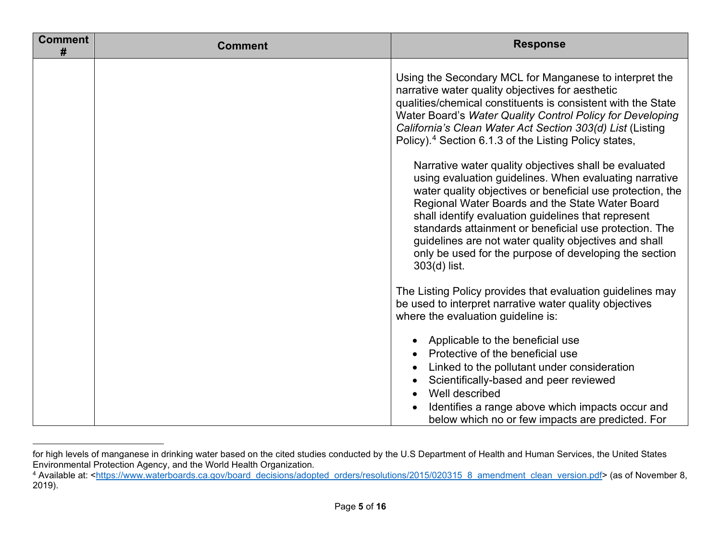<span id="page-4-0"></span>

| <b>Comment</b><br># | <b>Comment</b> | <b>Response</b>                                                                                                                                                                                                                                                                                                                                                                                                                                                                      |
|---------------------|----------------|--------------------------------------------------------------------------------------------------------------------------------------------------------------------------------------------------------------------------------------------------------------------------------------------------------------------------------------------------------------------------------------------------------------------------------------------------------------------------------------|
|                     |                | Using the Secondary MCL for Manganese to interpret the<br>narrative water quality objectives for aesthetic<br>qualities/chemical constituents is consistent with the State<br>Water Board's Water Quality Control Policy for Developing<br>California's Clean Water Act Section 303(d) List (Listing<br>Policy). <sup>4</sup> Section 6.1.3 of the Listing Policy states,                                                                                                            |
|                     |                | Narrative water quality objectives shall be evaluated<br>using evaluation guidelines. When evaluating narrative<br>water quality objectives or beneficial use protection, the<br>Regional Water Boards and the State Water Board<br>shall identify evaluation guidelines that represent<br>standards attainment or beneficial use protection. The<br>guidelines are not water quality objectives and shall<br>only be used for the purpose of developing the section<br>303(d) list. |
|                     |                | The Listing Policy provides that evaluation guidelines may<br>be used to interpret narrative water quality objectives<br>where the evaluation guideline is:                                                                                                                                                                                                                                                                                                                          |
|                     |                | Applicable to the beneficial use<br>$\bullet$<br>Protective of the beneficial use<br>Linked to the pollutant under consideration<br>Scientifically-based and peer reviewed<br>Well described<br>$\bullet$<br>Identifies a range above which impacts occur and<br>below which no or few impacts are predicted. For                                                                                                                                                                    |

for high levels of manganese in drinking water based on the cited studies conducted by the U.S Department of Health and Human Services, the United States Environmental Protection Agency, and the World Health Organization.

<sup>4</sup> Available at: <<u>https://www.waterboards.ca.gov/board\_decisions/adopted\_orders/resolutions/2015/020315\_8\_amendment\_clean\_version.pdf> (as of November 8,</u> 2019).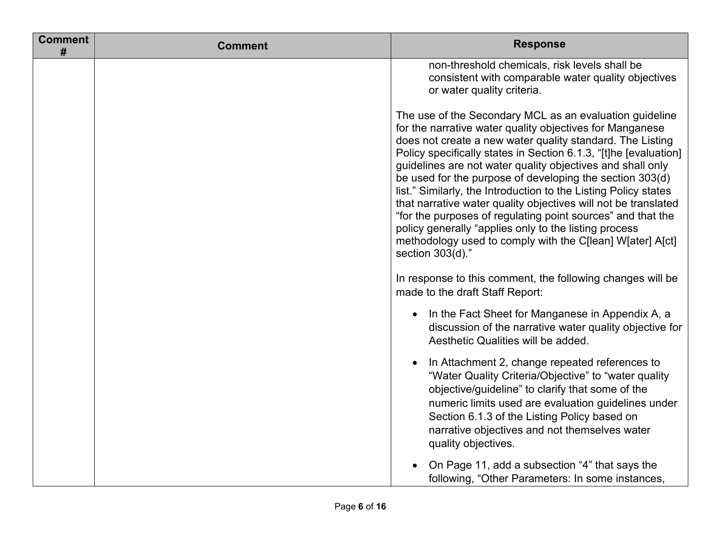| <b>Comment</b><br># | <b>Comment</b> | <b>Response</b>                                                                                                                                                                                                                                                                                                                                                                                                                                                                                                                                                                                                                                                                                                              |
|---------------------|----------------|------------------------------------------------------------------------------------------------------------------------------------------------------------------------------------------------------------------------------------------------------------------------------------------------------------------------------------------------------------------------------------------------------------------------------------------------------------------------------------------------------------------------------------------------------------------------------------------------------------------------------------------------------------------------------------------------------------------------------|
|                     |                | non-threshold chemicals, risk levels shall be<br>consistent with comparable water quality objectives<br>or water quality criteria.                                                                                                                                                                                                                                                                                                                                                                                                                                                                                                                                                                                           |
|                     |                | The use of the Secondary MCL as an evaluation guideline<br>for the narrative water quality objectives for Manganese<br>does not create a new water quality standard. The Listing<br>Policy specifically states in Section 6.1.3, "[t]he [evaluation]<br>guidelines are not water quality objectives and shall only<br>be used for the purpose of developing the section 303(d)<br>list." Similarly, the Introduction to the Listing Policy states<br>that narrative water quality objectives will not be translated<br>"for the purposes of regulating point sources" and that the<br>policy generally "applies only to the listing process<br>methodology used to comply with the C[lean] W[ater] A[ct]<br>section 303(d)." |
|                     |                | In response to this comment, the following changes will be<br>made to the draft Staff Report:                                                                                                                                                                                                                                                                                                                                                                                                                                                                                                                                                                                                                                |
|                     |                | In the Fact Sheet for Manganese in Appendix A, a<br>$\bullet$<br>discussion of the narrative water quality objective for<br>Aesthetic Qualities will be added.                                                                                                                                                                                                                                                                                                                                                                                                                                                                                                                                                               |
|                     |                | In Attachment 2, change repeated references to<br>$\bullet$<br>"Water Quality Criteria/Objective" to "water quality"<br>objective/guideline" to clarify that some of the<br>numeric limits used are evaluation guidelines under<br>Section 6.1.3 of the Listing Policy based on<br>narrative objectives and not themselves water<br>quality objectives.                                                                                                                                                                                                                                                                                                                                                                      |
|                     |                | On Page 11, add a subsection "4" that says the<br>following, "Other Parameters: In some instances,                                                                                                                                                                                                                                                                                                                                                                                                                                                                                                                                                                                                                           |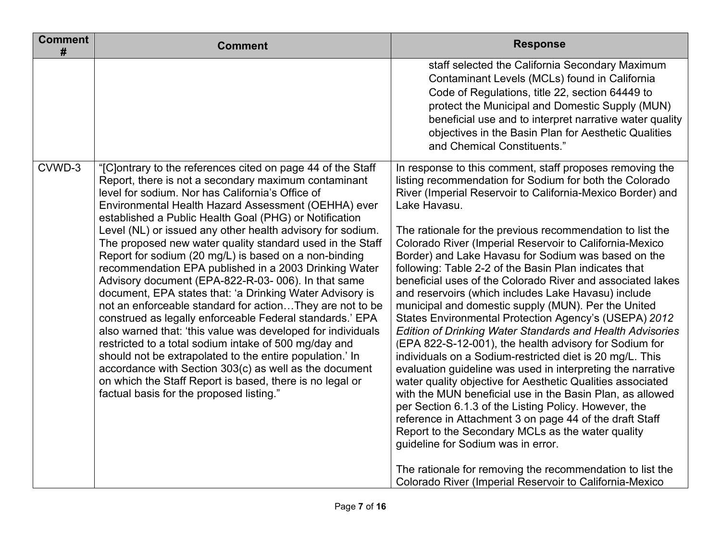| <b>Comment</b><br># | <b>Comment</b>                                                                                                                                                                                                                                                                                                                                                                                                                                                                                                                                                                                                                                                                                                                                                                                                                                                                                                                                                                                                                                                                                                                        | <b>Response</b>                                                                                                                                                                                                                                                                                                                                                                                                                                                                                                                                                                                                                                                                                                                                                                                                                                                                                                                                                                                                                                                                                                                                                                                                                                                                                                                                                                                           |
|---------------------|---------------------------------------------------------------------------------------------------------------------------------------------------------------------------------------------------------------------------------------------------------------------------------------------------------------------------------------------------------------------------------------------------------------------------------------------------------------------------------------------------------------------------------------------------------------------------------------------------------------------------------------------------------------------------------------------------------------------------------------------------------------------------------------------------------------------------------------------------------------------------------------------------------------------------------------------------------------------------------------------------------------------------------------------------------------------------------------------------------------------------------------|-----------------------------------------------------------------------------------------------------------------------------------------------------------------------------------------------------------------------------------------------------------------------------------------------------------------------------------------------------------------------------------------------------------------------------------------------------------------------------------------------------------------------------------------------------------------------------------------------------------------------------------------------------------------------------------------------------------------------------------------------------------------------------------------------------------------------------------------------------------------------------------------------------------------------------------------------------------------------------------------------------------------------------------------------------------------------------------------------------------------------------------------------------------------------------------------------------------------------------------------------------------------------------------------------------------------------------------------------------------------------------------------------------------|
|                     |                                                                                                                                                                                                                                                                                                                                                                                                                                                                                                                                                                                                                                                                                                                                                                                                                                                                                                                                                                                                                                                                                                                                       | staff selected the California Secondary Maximum<br>Contaminant Levels (MCLs) found in California<br>Code of Regulations, title 22, section 64449 to<br>protect the Municipal and Domestic Supply (MUN)<br>beneficial use and to interpret narrative water quality<br>objectives in the Basin Plan for Aesthetic Qualities<br>and Chemical Constituents."                                                                                                                                                                                                                                                                                                                                                                                                                                                                                                                                                                                                                                                                                                                                                                                                                                                                                                                                                                                                                                                  |
| CVWD-3              | "[C]ontrary to the references cited on page 44 of the Staff<br>Report, there is not a secondary maximum contaminant<br>level for sodium. Nor has California's Office of<br>Environmental Health Hazard Assessment (OEHHA) ever<br>established a Public Health Goal (PHG) or Notification<br>Level (NL) or issued any other health advisory for sodium.<br>The proposed new water quality standard used in the Staff<br>Report for sodium (20 mg/L) is based on a non-binding<br>recommendation EPA published in a 2003 Drinking Water<br>Advisory document (EPA-822-R-03-006). In that same<br>document, EPA states that: 'a Drinking Water Advisory is<br>not an enforceable standard for actionThey are not to be<br>construed as legally enforceable Federal standards.' EPA<br>also warned that: 'this value was developed for individuals<br>restricted to a total sodium intake of 500 mg/day and<br>should not be extrapolated to the entire population.' In<br>accordance with Section 303(c) as well as the document<br>on which the Staff Report is based, there is no legal or<br>factual basis for the proposed listing." | In response to this comment, staff proposes removing the<br>listing recommendation for Sodium for both the Colorado<br>River (Imperial Reservoir to California-Mexico Border) and<br>Lake Havasu.<br>The rationale for the previous recommendation to list the<br>Colorado River (Imperial Reservoir to California-Mexico<br>Border) and Lake Havasu for Sodium was based on the<br>following: Table 2-2 of the Basin Plan indicates that<br>beneficial uses of the Colorado River and associated lakes<br>and reservoirs (which includes Lake Havasu) include<br>municipal and domestic supply (MUN). Per the United<br>States Environmental Protection Agency's (USEPA) 2012<br><b>Edition of Drinking Water Standards and Health Advisories</b><br>(EPA 822-S-12-001), the health advisory for Sodium for<br>individuals on a Sodium-restricted diet is 20 mg/L. This<br>evaluation guideline was used in interpreting the narrative<br>water quality objective for Aesthetic Qualities associated<br>with the MUN beneficial use in the Basin Plan, as allowed<br>per Section 6.1.3 of the Listing Policy. However, the<br>reference in Attachment 3 on page 44 of the draft Staff<br>Report to the Secondary MCLs as the water quality<br>guideline for Sodium was in error.<br>The rationale for removing the recommendation to list the<br>Colorado River (Imperial Reservoir to California-Mexico |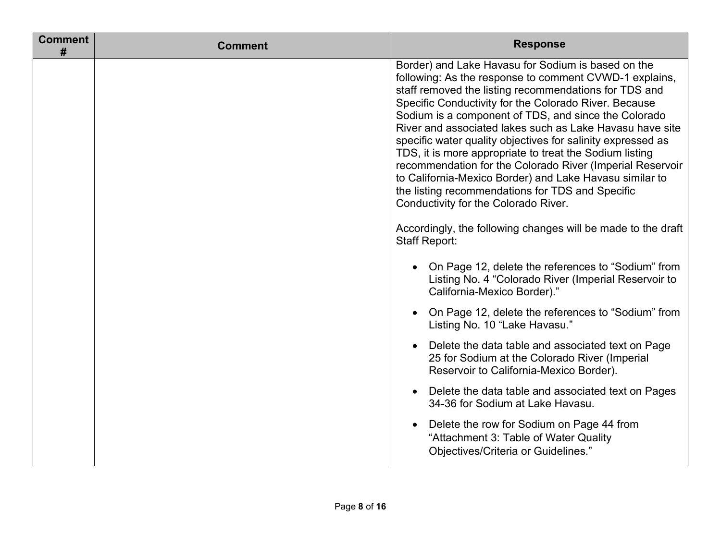| <b>Comment</b><br># | <b>Comment</b> | <b>Response</b>                                                                                                                                                                                                                                                                                                                                                                                                                                                                                                                                                                                                                                                                                                                                                                                                                                                                                                                                                                                                                           |
|---------------------|----------------|-------------------------------------------------------------------------------------------------------------------------------------------------------------------------------------------------------------------------------------------------------------------------------------------------------------------------------------------------------------------------------------------------------------------------------------------------------------------------------------------------------------------------------------------------------------------------------------------------------------------------------------------------------------------------------------------------------------------------------------------------------------------------------------------------------------------------------------------------------------------------------------------------------------------------------------------------------------------------------------------------------------------------------------------|
|                     |                | Border) and Lake Havasu for Sodium is based on the<br>following: As the response to comment CVWD-1 explains,<br>staff removed the listing recommendations for TDS and<br>Specific Conductivity for the Colorado River. Because<br>Sodium is a component of TDS, and since the Colorado<br>River and associated lakes such as Lake Havasu have site<br>specific water quality objectives for salinity expressed as<br>TDS, it is more appropriate to treat the Sodium listing<br>recommendation for the Colorado River (Imperial Reservoir<br>to California-Mexico Border) and Lake Havasu similar to<br>the listing recommendations for TDS and Specific<br>Conductivity for the Colorado River.<br>Accordingly, the following changes will be made to the draft<br><b>Staff Report:</b><br>On Page 12, delete the references to "Sodium" from<br>$\bullet$<br>Listing No. 4 "Colorado River (Imperial Reservoir to<br>California-Mexico Border)."<br>On Page 12, delete the references to "Sodium" from<br>Listing No. 10 "Lake Havasu." |
|                     |                | Delete the data table and associated text on Page<br>25 for Sodium at the Colorado River (Imperial<br>Reservoir to California-Mexico Border).                                                                                                                                                                                                                                                                                                                                                                                                                                                                                                                                                                                                                                                                                                                                                                                                                                                                                             |
|                     |                | Delete the data table and associated text on Pages<br>$\bullet$<br>34-36 for Sodium at Lake Havasu.                                                                                                                                                                                                                                                                                                                                                                                                                                                                                                                                                                                                                                                                                                                                                                                                                                                                                                                                       |
|                     |                | Delete the row for Sodium on Page 44 from<br>"Attachment 3: Table of Water Quality<br>Objectives/Criteria or Guidelines."                                                                                                                                                                                                                                                                                                                                                                                                                                                                                                                                                                                                                                                                                                                                                                                                                                                                                                                 |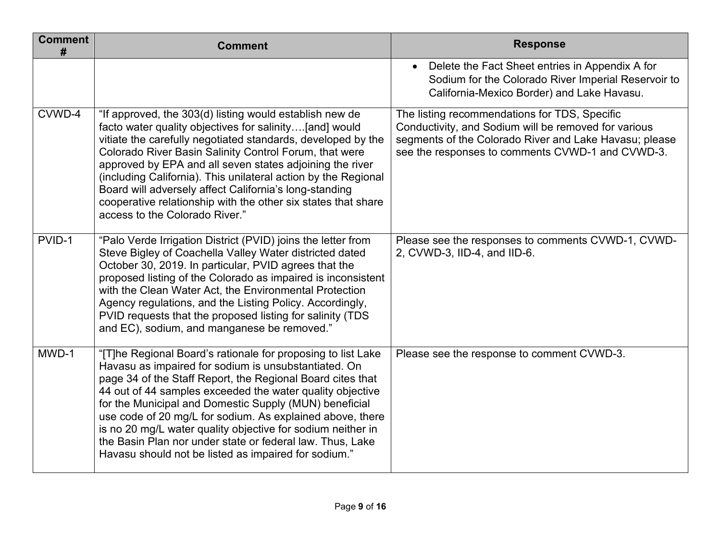| <b>Comment</b><br># | <b>Comment</b>                                                                                                                                                                                                                                                                                                                                                                                                                                                                                                                                             | <b>Response</b>                                                                                                                                                                                                     |
|---------------------|------------------------------------------------------------------------------------------------------------------------------------------------------------------------------------------------------------------------------------------------------------------------------------------------------------------------------------------------------------------------------------------------------------------------------------------------------------------------------------------------------------------------------------------------------------|---------------------------------------------------------------------------------------------------------------------------------------------------------------------------------------------------------------------|
|                     |                                                                                                                                                                                                                                                                                                                                                                                                                                                                                                                                                            | Delete the Fact Sheet entries in Appendix A for<br>$\bullet$<br>Sodium for the Colorado River Imperial Reservoir to<br>California-Mexico Border) and Lake Havasu.                                                   |
| CVWD-4              | "If approved, the 303(d) listing would establish new de<br>facto water quality objectives for salinity[and] would<br>vitiate the carefully negotiated standards, developed by the<br>Colorado River Basin Salinity Control Forum, that were<br>approved by EPA and all seven states adjoining the river<br>(including California). This unilateral action by the Regional<br>Board will adversely affect California's long-standing<br>cooperative relationship with the other six states that share<br>access to the Colorado River."                     | The listing recommendations for TDS, Specific<br>Conductivity, and Sodium will be removed for various<br>segments of the Colorado River and Lake Havasu; please<br>see the responses to comments CVWD-1 and CVWD-3. |
| PVID-1              | "Palo Verde Irrigation District (PVID) joins the letter from<br>Steve Bigley of Coachella Valley Water districted dated<br>October 30, 2019. In particular, PVID agrees that the<br>proposed listing of the Colorado as impaired is inconsistent<br>with the Clean Water Act, the Environmental Protection<br>Agency regulations, and the Listing Policy. Accordingly,<br>PVID requests that the proposed listing for salinity (TDS<br>and EC), sodium, and manganese be removed."                                                                         | Please see the responses to comments CVWD-1, CVWD-<br>2, CVWD-3, IID-4, and IID-6.                                                                                                                                  |
| MWD-1               | "[T]he Regional Board's rationale for proposing to list Lake<br>Havasu as impaired for sodium is unsubstantiated. On<br>page 34 of the Staff Report, the Regional Board cites that<br>44 out of 44 samples exceeded the water quality objective<br>for the Municipal and Domestic Supply (MUN) beneficial<br>use code of 20 mg/L for sodium. As explained above, there<br>is no 20 mg/L water quality objective for sodium neither in<br>the Basin Plan nor under state or federal law. Thus, Lake<br>Havasu should not be listed as impaired for sodium." | Please see the response to comment CVWD-3.                                                                                                                                                                          |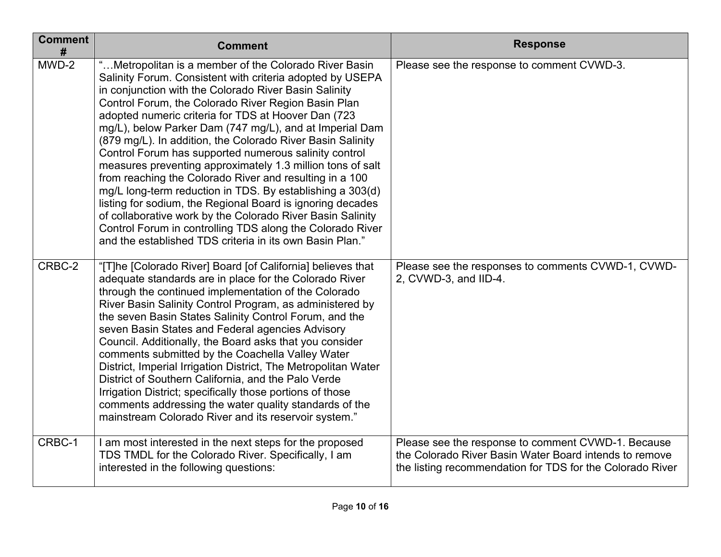| <b>Comment</b><br># | <b>Comment</b>                                                                                                                                                                                                                                                                                                                                                                                                                                                                                                                                                                                                                                                                                                                                                                                                                                                                                                         | <b>Response</b>                                                                                                                                                           |
|---------------------|------------------------------------------------------------------------------------------------------------------------------------------------------------------------------------------------------------------------------------------------------------------------------------------------------------------------------------------------------------------------------------------------------------------------------------------------------------------------------------------------------------------------------------------------------------------------------------------------------------------------------------------------------------------------------------------------------------------------------------------------------------------------------------------------------------------------------------------------------------------------------------------------------------------------|---------------------------------------------------------------------------------------------------------------------------------------------------------------------------|
| MWD-2               | "Metropolitan is a member of the Colorado River Basin<br>Salinity Forum. Consistent with criteria adopted by USEPA<br>in conjunction with the Colorado River Basin Salinity<br>Control Forum, the Colorado River Region Basin Plan<br>adopted numeric criteria for TDS at Hoover Dan (723<br>mg/L), below Parker Dam (747 mg/L), and at Imperial Dam<br>(879 mg/L). In addition, the Colorado River Basin Salinity<br>Control Forum has supported numerous salinity control<br>measures preventing approximately 1.3 million tons of salt<br>from reaching the Colorado River and resulting in a 100<br>mg/L long-term reduction in TDS. By establishing a 303(d)<br>listing for sodium, the Regional Board is ignoring decades<br>of collaborative work by the Colorado River Basin Salinity<br>Control Forum in controlling TDS along the Colorado River<br>and the established TDS criteria in its own Basin Plan." | Please see the response to comment CVWD-3.                                                                                                                                |
| CRBC-2              | "[T]he [Colorado River] Board [of California] believes that<br>adequate standards are in place for the Colorado River<br>through the continued implementation of the Colorado<br>River Basin Salinity Control Program, as administered by<br>the seven Basin States Salinity Control Forum, and the<br>seven Basin States and Federal agencies Advisory<br>Council. Additionally, the Board asks that you consider<br>comments submitted by the Coachella Valley Water<br>District, Imperial Irrigation District, The Metropolitan Water<br>District of Southern California, and the Palo Verde<br>Irrigation District; specifically those portions of those<br>comments addressing the water quality standards of the<br>mainstream Colorado River and its reservoir system."                                                                                                                                         | Please see the responses to comments CVWD-1, CVWD-<br>2, CVWD-3, and IID-4.                                                                                               |
| CRBC-1              | I am most interested in the next steps for the proposed<br>TDS TMDL for the Colorado River. Specifically, I am<br>interested in the following questions:                                                                                                                                                                                                                                                                                                                                                                                                                                                                                                                                                                                                                                                                                                                                                               | Please see the response to comment CVWD-1. Because<br>the Colorado River Basin Water Board intends to remove<br>the listing recommendation for TDS for the Colorado River |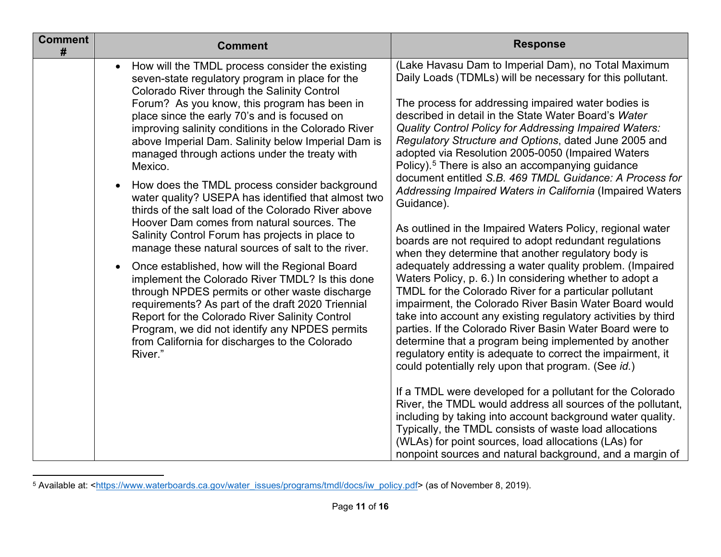<span id="page-10-0"></span>

| <b>Comment</b><br># | <b>Comment</b>                                                                                                                                                                                                                                                                                                                                                                                                                                                                                                                                                                                                                                                                                                                                                                                                                                                                                                                                                                                                                                                                                                                                         | <b>Response</b>                                                                                                                                                                                                                                                                                                                                                                                                                                                                                                                                                                                                                                                                                                                                                                                                                                                                                                                                                                                                                                                                                                                                                                                                                                                                                                                                                                                                                                                                                                                                                                                                                                                       |
|---------------------|--------------------------------------------------------------------------------------------------------------------------------------------------------------------------------------------------------------------------------------------------------------------------------------------------------------------------------------------------------------------------------------------------------------------------------------------------------------------------------------------------------------------------------------------------------------------------------------------------------------------------------------------------------------------------------------------------------------------------------------------------------------------------------------------------------------------------------------------------------------------------------------------------------------------------------------------------------------------------------------------------------------------------------------------------------------------------------------------------------------------------------------------------------|-----------------------------------------------------------------------------------------------------------------------------------------------------------------------------------------------------------------------------------------------------------------------------------------------------------------------------------------------------------------------------------------------------------------------------------------------------------------------------------------------------------------------------------------------------------------------------------------------------------------------------------------------------------------------------------------------------------------------------------------------------------------------------------------------------------------------------------------------------------------------------------------------------------------------------------------------------------------------------------------------------------------------------------------------------------------------------------------------------------------------------------------------------------------------------------------------------------------------------------------------------------------------------------------------------------------------------------------------------------------------------------------------------------------------------------------------------------------------------------------------------------------------------------------------------------------------------------------------------------------------------------------------------------------------|
|                     | How will the TMDL process consider the existing<br>$\bullet$<br>seven-state regulatory program in place for the<br>Colorado River through the Salinity Control<br>Forum? As you know, this program has been in<br>place since the early 70's and is focused on<br>improving salinity conditions in the Colorado River<br>above Imperial Dam. Salinity below Imperial Dam is<br>managed through actions under the treaty with<br>Mexico.<br>How does the TMDL process consider background<br>water quality? USEPA has identified that almost two<br>thirds of the salt load of the Colorado River above<br>Hoover Dam comes from natural sources. The<br>Salinity Control Forum has projects in place to<br>manage these natural sources of salt to the river.<br>Once established, how will the Regional Board<br>$\bullet$<br>implement the Colorado River TMDL? Is this done<br>through NPDES permits or other waste discharge<br>requirements? As part of the draft 2020 Triennial<br>Report for the Colorado River Salinity Control<br>Program, we did not identify any NPDES permits<br>from California for discharges to the Colorado<br>River." | (Lake Havasu Dam to Imperial Dam), no Total Maximum<br>Daily Loads (TDMLs) will be necessary for this pollutant.<br>The process for addressing impaired water bodies is<br>described in detail in the State Water Board's Water<br><b>Quality Control Policy for Addressing Impaired Waters:</b><br>Regulatory Structure and Options, dated June 2005 and<br>adopted via Resolution 2005-0050 (Impaired Waters<br>Policy). <sup>5</sup> There is also an accompanying guidance<br>document entitled S.B. 469 TMDL Guidance: A Process for<br>Addressing Impaired Waters in California (Impaired Waters<br>Guidance).<br>As outlined in the Impaired Waters Policy, regional water<br>boards are not required to adopt redundant regulations<br>when they determine that another regulatory body is<br>adequately addressing a water quality problem. (Impaired<br>Waters Policy, p. 6.) In considering whether to adopt a<br>TMDL for the Colorado River for a particular pollutant<br>impairment, the Colorado River Basin Water Board would<br>take into account any existing regulatory activities by third<br>parties. If the Colorado River Basin Water Board were to<br>determine that a program being implemented by another<br>regulatory entity is adequate to correct the impairment, it<br>could potentially rely upon that program. (See id.)<br>If a TMDL were developed for a pollutant for the Colorado<br>River, the TMDL would address all sources of the pollutant,<br>including by taking into account background water quality.<br>Typically, the TMDL consists of waste load allocations<br>(WLAs) for point sources, load allocations (LAs) for |
|                     |                                                                                                                                                                                                                                                                                                                                                                                                                                                                                                                                                                                                                                                                                                                                                                                                                                                                                                                                                                                                                                                                                                                                                        | nonpoint sources and natural background, and a margin of                                                                                                                                                                                                                                                                                                                                                                                                                                                                                                                                                                                                                                                                                                                                                                                                                                                                                                                                                                                                                                                                                                                                                                                                                                                                                                                                                                                                                                                                                                                                                                                                              |

<sup>5</sup> Available at: [<https://www.waterboards.ca.gov/water\\_issues/programs/tmdl/docs/iw\\_policy.pdf>](https://www.waterboards.ca.gov/water_issues/programs/tmdl/docs/iw_policy.pdf) (as of November 8, 2019).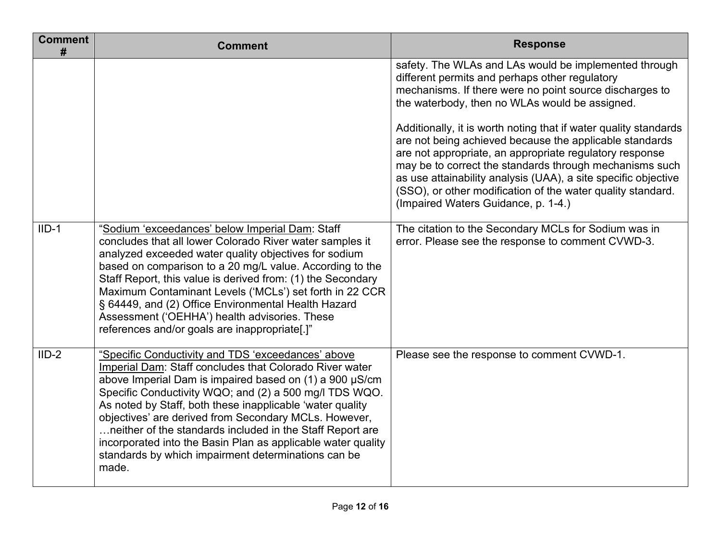| <b>Comment</b><br># | <b>Comment</b>                                                                                                                                                                                                                                                                                                                                                                                                                                                                                                                                        | <b>Response</b>                                                                                                                                                                                                                                                                                                                                                                                                           |
|---------------------|-------------------------------------------------------------------------------------------------------------------------------------------------------------------------------------------------------------------------------------------------------------------------------------------------------------------------------------------------------------------------------------------------------------------------------------------------------------------------------------------------------------------------------------------------------|---------------------------------------------------------------------------------------------------------------------------------------------------------------------------------------------------------------------------------------------------------------------------------------------------------------------------------------------------------------------------------------------------------------------------|
|                     |                                                                                                                                                                                                                                                                                                                                                                                                                                                                                                                                                       | safety. The WLAs and LAs would be implemented through<br>different permits and perhaps other regulatory<br>mechanisms. If there were no point source discharges to<br>the waterbody, then no WLAs would be assigned.                                                                                                                                                                                                      |
|                     |                                                                                                                                                                                                                                                                                                                                                                                                                                                                                                                                                       | Additionally, it is worth noting that if water quality standards<br>are not being achieved because the applicable standards<br>are not appropriate, an appropriate regulatory response<br>may be to correct the standards through mechanisms such<br>as use attainability analysis (UAA), a site specific objective<br>(SSO), or other modification of the water quality standard.<br>(Impaired Waters Guidance, p. 1-4.) |
| $IID-1$             | "Sodium 'exceedances' below Imperial Dam: Staff<br>concludes that all lower Colorado River water samples it<br>analyzed exceeded water quality objectives for sodium<br>based on comparison to a 20 mg/L value. According to the<br>Staff Report, this value is derived from: (1) the Secondary<br>Maximum Contaminant Levels ('MCLs') set forth in 22 CCR<br>§ 64449, and (2) Office Environmental Health Hazard<br>Assessment ('OEHHA') health advisories. These<br>references and/or goals are inappropriate[.]"                                   | The citation to the Secondary MCLs for Sodium was in<br>error. Please see the response to comment CVWD-3.                                                                                                                                                                                                                                                                                                                 |
| $IID-2$             | "Specific Conductivity and TDS 'exceedances' above<br>Imperial Dam: Staff concludes that Colorado River water<br>above Imperial Dam is impaired based on (1) a 900 µS/cm<br>Specific Conductivity WQO; and (2) a 500 mg/l TDS WQO.<br>As noted by Staff, both these inapplicable 'water quality<br>objectives' are derived from Secondary MCLs. However,<br>neither of the standards included in the Staff Report are<br>incorporated into the Basin Plan as applicable water quality<br>standards by which impairment determinations can be<br>made. | Please see the response to comment CVWD-1.                                                                                                                                                                                                                                                                                                                                                                                |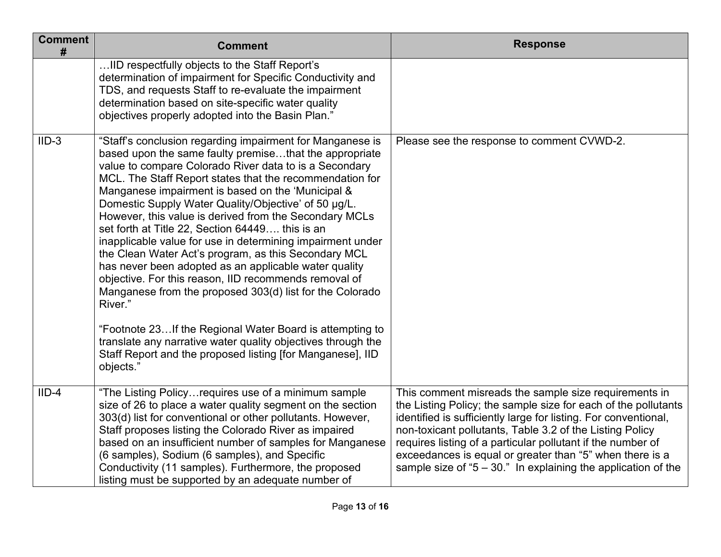| <b>Comment</b><br># | <b>Comment</b>                                                                                                                                                                                                                                                                                                                                                                                                                                                                                                                                                                                                                                                                                                                                                                                                                                 | <b>Response</b>                                                                                                                                                                                                                                                                                                                                                                                                                                        |
|---------------------|------------------------------------------------------------------------------------------------------------------------------------------------------------------------------------------------------------------------------------------------------------------------------------------------------------------------------------------------------------------------------------------------------------------------------------------------------------------------------------------------------------------------------------------------------------------------------------------------------------------------------------------------------------------------------------------------------------------------------------------------------------------------------------------------------------------------------------------------|--------------------------------------------------------------------------------------------------------------------------------------------------------------------------------------------------------------------------------------------------------------------------------------------------------------------------------------------------------------------------------------------------------------------------------------------------------|
|                     | IID respectfully objects to the Staff Report's<br>determination of impairment for Specific Conductivity and<br>TDS, and requests Staff to re-evaluate the impairment<br>determination based on site-specific water quality<br>objectives properly adopted into the Basin Plan."                                                                                                                                                                                                                                                                                                                                                                                                                                                                                                                                                                |                                                                                                                                                                                                                                                                                                                                                                                                                                                        |
| $IID-3$             | "Staff's conclusion regarding impairment for Manganese is<br>based upon the same faulty premisethat the appropriate<br>value to compare Colorado River data to is a Secondary<br>MCL. The Staff Report states that the recommendation for<br>Manganese impairment is based on the 'Municipal &<br>Domestic Supply Water Quality/Objective' of 50 µg/L.<br>However, this value is derived from the Secondary MCLs<br>set forth at Title 22, Section 64449 this is an<br>inapplicable value for use in determining impairment under<br>the Clean Water Act's program, as this Secondary MCL<br>has never been adopted as an applicable water quality<br>objective. For this reason, IID recommends removal of<br>Manganese from the proposed 303(d) list for the Colorado<br>River."<br>"Footnote 23If the Regional Water Board is attempting to | Please see the response to comment CVWD-2.                                                                                                                                                                                                                                                                                                                                                                                                             |
|                     | translate any narrative water quality objectives through the<br>Staff Report and the proposed listing [for Manganese], IID<br>objects."                                                                                                                                                                                                                                                                                                                                                                                                                                                                                                                                                                                                                                                                                                        |                                                                                                                                                                                                                                                                                                                                                                                                                                                        |
| $IID-4$             | "The Listing Policyrequires use of a minimum sample<br>size of 26 to place a water quality segment on the section<br>303(d) list for conventional or other pollutants. However,<br>Staff proposes listing the Colorado River as impaired<br>based on an insufficient number of samples for Manganese<br>(6 samples), Sodium (6 samples), and Specific<br>Conductivity (11 samples). Furthermore, the proposed<br>listing must be supported by an adequate number of                                                                                                                                                                                                                                                                                                                                                                            | This comment misreads the sample size requirements in<br>the Listing Policy; the sample size for each of the pollutants<br>identified is sufficiently large for listing. For conventional,<br>non-toxicant pollutants, Table 3.2 of the Listing Policy<br>requires listing of a particular pollutant if the number of<br>exceedances is equal or greater than "5" when there is a<br>sample size of " $5 - 30$ ." In explaining the application of the |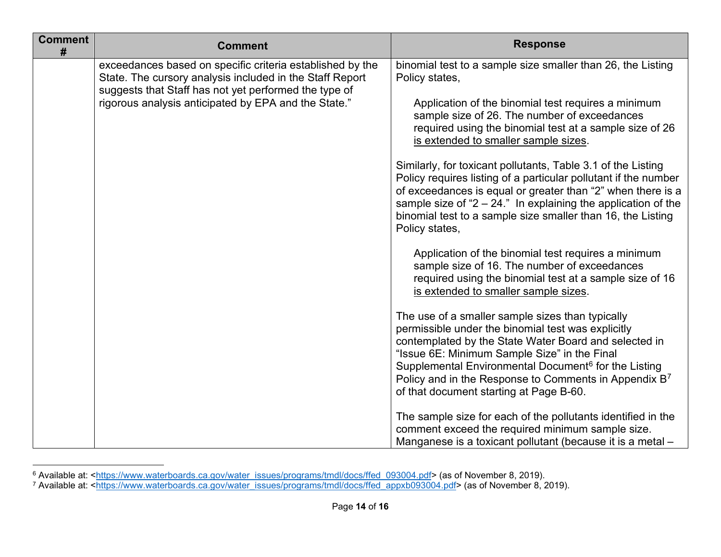<span id="page-13-1"></span><span id="page-13-0"></span>

| <b>Comment</b><br># | <b>Comment</b>                                                                                                                                                                                                                         | <b>Response</b>                                                                                                                                                                                                                                                                                                                                                                                     |
|---------------------|----------------------------------------------------------------------------------------------------------------------------------------------------------------------------------------------------------------------------------------|-----------------------------------------------------------------------------------------------------------------------------------------------------------------------------------------------------------------------------------------------------------------------------------------------------------------------------------------------------------------------------------------------------|
|                     | exceedances based on specific criteria established by the<br>State. The cursory analysis included in the Staff Report<br>suggests that Staff has not yet performed the type of<br>rigorous analysis anticipated by EPA and the State." | binomial test to a sample size smaller than 26, the Listing<br>Policy states,<br>Application of the binomial test requires a minimum<br>sample size of 26. The number of exceedances                                                                                                                                                                                                                |
|                     |                                                                                                                                                                                                                                        | required using the binomial test at a sample size of 26<br>is extended to smaller sample sizes.                                                                                                                                                                                                                                                                                                     |
|                     |                                                                                                                                                                                                                                        | Similarly, for toxicant pollutants, Table 3.1 of the Listing<br>Policy requires listing of a particular pollutant if the number<br>of exceedances is equal or greater than "2" when there is a<br>sample size of " $2 - 24$ ." In explaining the application of the<br>binomial test to a sample size smaller than 16, the Listing<br>Policy states,                                                |
|                     |                                                                                                                                                                                                                                        | Application of the binomial test requires a minimum<br>sample size of 16. The number of exceedances<br>required using the binomial test at a sample size of 16<br>is extended to smaller sample sizes.                                                                                                                                                                                              |
|                     |                                                                                                                                                                                                                                        | The use of a smaller sample sizes than typically<br>permissible under the binomial test was explicitly<br>contemplated by the State Water Board and selected in<br>"Issue 6E: Minimum Sample Size" in the Final<br>Supplemental Environmental Document <sup>6</sup> for the Listing<br>Policy and in the Response to Comments in Appendix B <sup>7</sup><br>of that document starting at Page B-60. |
|                     |                                                                                                                                                                                                                                        | The sample size for each of the pollutants identified in the<br>comment exceed the required minimum sample size.<br>Manganese is a toxicant pollutant (because it is a metal -                                                                                                                                                                                                                      |

<sup>&</sup>lt;sup>6</sup> Available at: <<u>https://www.waterboards.ca.gov/water\_issues/programs/tmdl/docs/ffed\_093004.pdf</u>> (as of November 8, 2019).

<sup>&</sup>lt;sup>7</sup> Available at: <<u>https://www.waterboards.ca.gov/water\_issues/programs/tmdl/docs/ffed\_appxb093004.pdf> (as of November 8, 2019).</u>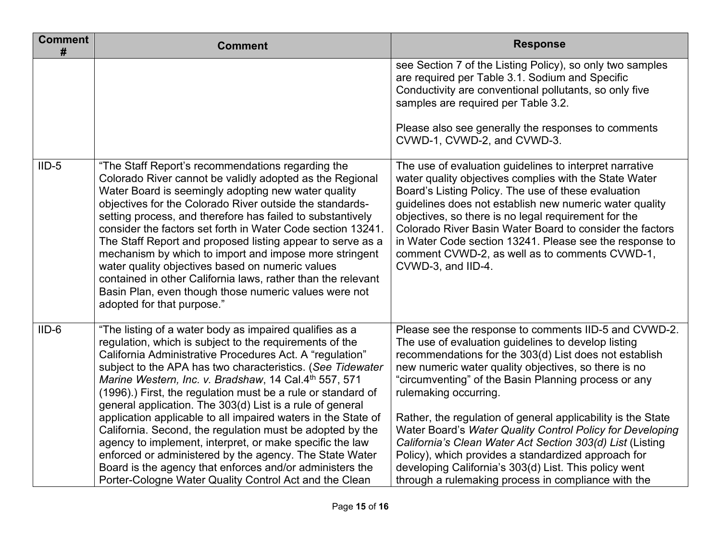| <b>Comment</b><br># | <b>Comment</b>                                                                                                                                                                                                                                                                                                                                                                                                                                                                                                                                                                                                                                                                                                                                                                                                | <b>Response</b>                                                                                                                                                                                                                                                                                                                                                                                                                                                                                                                                                                                                                                                                  |
|---------------------|---------------------------------------------------------------------------------------------------------------------------------------------------------------------------------------------------------------------------------------------------------------------------------------------------------------------------------------------------------------------------------------------------------------------------------------------------------------------------------------------------------------------------------------------------------------------------------------------------------------------------------------------------------------------------------------------------------------------------------------------------------------------------------------------------------------|----------------------------------------------------------------------------------------------------------------------------------------------------------------------------------------------------------------------------------------------------------------------------------------------------------------------------------------------------------------------------------------------------------------------------------------------------------------------------------------------------------------------------------------------------------------------------------------------------------------------------------------------------------------------------------|
|                     |                                                                                                                                                                                                                                                                                                                                                                                                                                                                                                                                                                                                                                                                                                                                                                                                               | see Section 7 of the Listing Policy), so only two samples<br>are required per Table 3.1. Sodium and Specific<br>Conductivity are conventional pollutants, so only five<br>samples are required per Table 3.2.<br>Please also see generally the responses to comments<br>CVWD-1, CVWD-2, and CVWD-3.                                                                                                                                                                                                                                                                                                                                                                              |
| $IID-5$             | "The Staff Report's recommendations regarding the<br>Colorado River cannot be validly adopted as the Regional<br>Water Board is seemingly adopting new water quality<br>objectives for the Colorado River outside the standards-<br>setting process, and therefore has failed to substantively<br>consider the factors set forth in Water Code section 13241.<br>The Staff Report and proposed listing appear to serve as a<br>mechanism by which to import and impose more stringent<br>water quality objectives based on numeric values<br>contained in other California laws, rather than the relevant<br>Basin Plan, even though those numeric values were not<br>adopted for that purpose."                                                                                                              | The use of evaluation guidelines to interpret narrative<br>water quality objectives complies with the State Water<br>Board's Listing Policy. The use of these evaluation<br>guidelines does not establish new numeric water quality<br>objectives, so there is no legal requirement for the<br>Colorado River Basin Water Board to consider the factors<br>in Water Code section 13241. Please see the response to<br>comment CVWD-2, as well as to comments CVWD-1,<br>CVWD-3, and IID-4.                                                                                                                                                                                       |
| $IID-6$             | "The listing of a water body as impaired qualifies as a<br>regulation, which is subject to the requirements of the<br>California Administrative Procedures Act. A "regulation"<br>subject to the APA has two characteristics. (See Tidewater<br>Marine Western, Inc. v. Bradshaw, 14 Cal.4th 557, 571<br>(1996).) First, the regulation must be a rule or standard of<br>general application. The 303(d) List is a rule of general<br>application applicable to all impaired waters in the State of<br>California. Second, the regulation must be adopted by the<br>agency to implement, interpret, or make specific the law<br>enforced or administered by the agency. The State Water<br>Board is the agency that enforces and/or administers the<br>Porter-Cologne Water Quality Control Act and the Clean | Please see the response to comments IID-5 and CVWD-2.<br>The use of evaluation guidelines to develop listing<br>recommendations for the 303(d) List does not establish<br>new numeric water quality objectives, so there is no<br>"circumventing" of the Basin Planning process or any<br>rulemaking occurring.<br>Rather, the regulation of general applicability is the State<br>Water Board's Water Quality Control Policy for Developing<br>California's Clean Water Act Section 303(d) List (Listing<br>Policy), which provides a standardized approach for<br>developing California's 303(d) List. This policy went<br>through a rulemaking process in compliance with the |